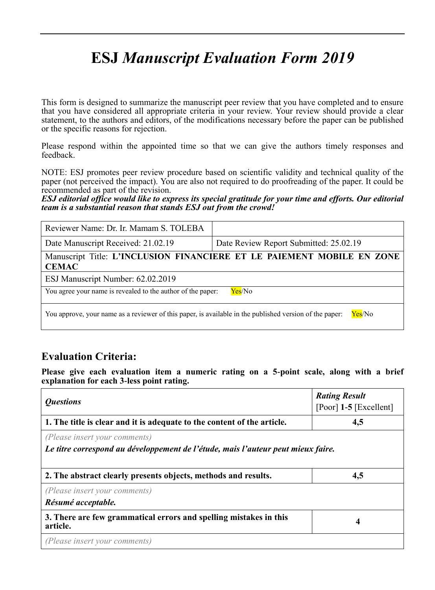# **ESJ** *Manuscript Evaluation Form 2019*

This form is designed to summarize the manuscript peer review that you have completed and to ensure that you have considered all appropriate criteria in your review. Your review should provide a clear statement, to the authors and editors, of the modifications necessary before the paper can be published or the specific reasons for rejection.

Please respond within the appointed time so that we can give the authors timely responses and feedback.

NOTE: ESJ promotes peer review procedure based on scientific validity and technical quality of the paper (not perceived the impact). You are also not required to do proofreading of the paper. It could be recommended as part of the revision.

*ESJ editorial office would like to express its special gratitude for your time and efforts. Our editorial team is a substantial reason that stands ESJ out from the crowd!* 

| Reviewer Name: Dr. Ir. Mamam S. TOLEBA                                                                            |                                        |  |  |
|-------------------------------------------------------------------------------------------------------------------|----------------------------------------|--|--|
| Date Manuscript Received: 21.02.19                                                                                | Date Review Report Submitted: 25.02.19 |  |  |
| Manuscript Title: L'INCLUSION FINANCIERE ET LE PAIEMENT MOBILE EN ZONE<br><b>CEMAC</b>                            |                                        |  |  |
| ESJ Manuscript Number: 62.02.2019                                                                                 |                                        |  |  |
| You agree your name is revealed to the author of the paper:<br>Yes/No                                             |                                        |  |  |
| Yes/No<br>You approve, your name as a reviewer of this paper, is available in the published version of the paper: |                                        |  |  |

### **Evaluation Criteria:**

**Please give each evaluation item a numeric rating on a 5-point scale, along with a brief explanation for each 3-less point rating.**

| <i><b>Questions</b></i>                                                          | <b>Rating Result</b>     |  |
|----------------------------------------------------------------------------------|--------------------------|--|
|                                                                                  | [Poor] $1-5$ [Excellent] |  |
| 1. The title is clear and it is adequate to the content of the article.          | 4,5                      |  |
| (Please insert your comments)                                                    |                          |  |
| Le titre correspond au développement de l'étude, mais l'auteur peut mieux faire. |                          |  |
|                                                                                  |                          |  |
| 2. The abstract clearly presents objects, methods and results.                   | 4,5                      |  |
| (Please insert your comments)                                                    |                          |  |
| Résumé acceptable.                                                               |                          |  |
| 3. There are few grammatical errors and spelling mistakes in this<br>article.    | 4                        |  |
| (Please insert your comments)                                                    |                          |  |